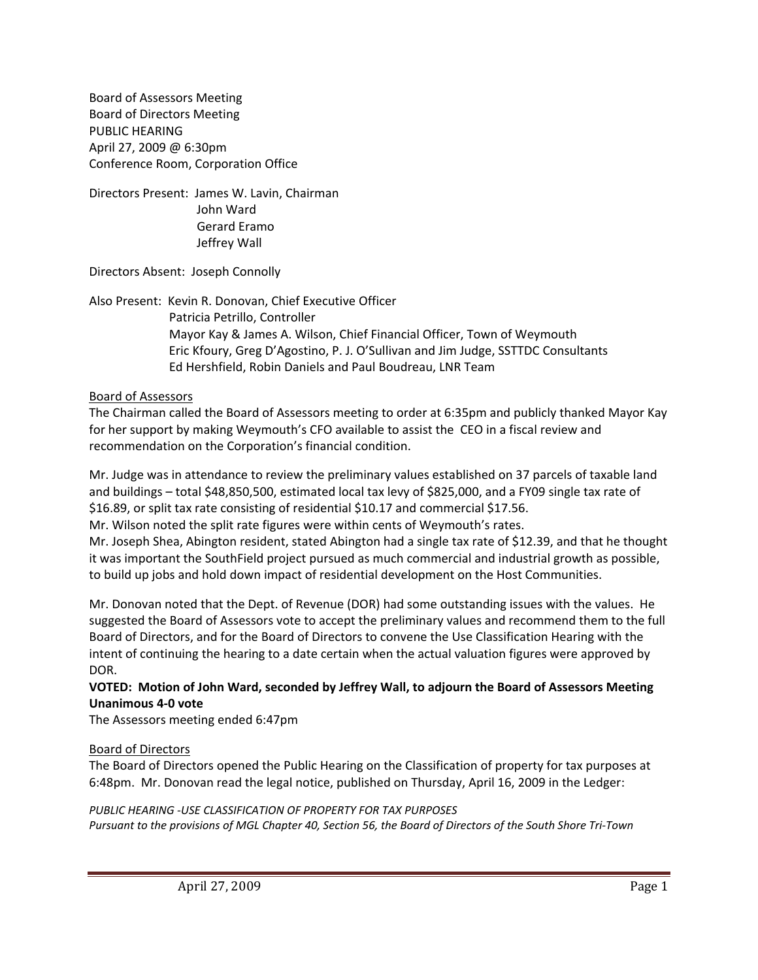Board of Assessors Meeting Board of Directors Meeting PUBLIC HEARING April 27, 2009 @ 6:30pm Conference Room, Corporation Office

Directors Present: James W. Lavin, Chairman John Ward Gerard Eramo Jeffrey Wall

Directors Absent: Joseph Connolly

Also Present: Kevin R. Donovan, Chief Executive Officer Patricia Petrillo, Controller Mayor Kay & James A. Wilson, Chief Financial Officer, Town of Weymouth Eric Kfoury, Greg D'Agostino, P. J. O'Sullivan and Jim Judge, SSTTDC Consultants Ed Hershfield, Robin Daniels and Paul Boudreau, LNR Team

#### Board of Assessors

The Chairman called the Board of Assessors meeting to order at 6:35pm and publicly thanked Mayor Kay for her support by making Weymouth's CFO available to assist the CEO in a fiscal review and recommendation on the Corporation's financial condition.

Mr. Judge was in attendance to review the preliminary values established on 37 parcels of taxable land and buildings – total \$48,850,500, estimated local tax levy of \$825,000, and a FY09 single tax rate of \$16.89, or split tax rate consisting of residential \$10.17 and commercial \$17.56.

Mr. Wilson noted the split rate figures were within cents of Weymouth's rates.

Mr. Joseph Shea, Abington resident, stated Abington had a single tax rate of \$12.39, and that he thought it was important the SouthField project pursued as much commercial and industrial growth as possible, to build up jobs and hold down impact of residential development on the Host Communities.

Mr. Donovan noted that the Dept. of Revenue (DOR) had some outstanding issues with the values. He suggested the Board of Assessors vote to accept the preliminary values and recommend them to the full Board of Directors, and for the Board of Directors to convene the Use Classification Hearing with the intent of continuing the hearing to a date certain when the actual valuation figures were approved by DOR.

## **VOTED: Motion of John Ward, seconded by Jeffrey Wall, to adjourn the Board of Assessors Meeting Unanimous 4‐0 vote**

The Assessors meeting ended 6:47pm

#### Board of Directors

The Board of Directors opened the Public Hearing on the Classification of property for tax purposes at 6:48pm. Mr. Donovan read the legal notice, published on Thursday, April 16, 2009 in the Ledger:

# *PUBLIC HEARING ‐USE CLASSIFICATION OF PROPERTY FOR TAX PURPOSES*

Pursuant to the provisions of MGL Chapter 40, Section 56, the Board of Directors of the South Shore Tri-Town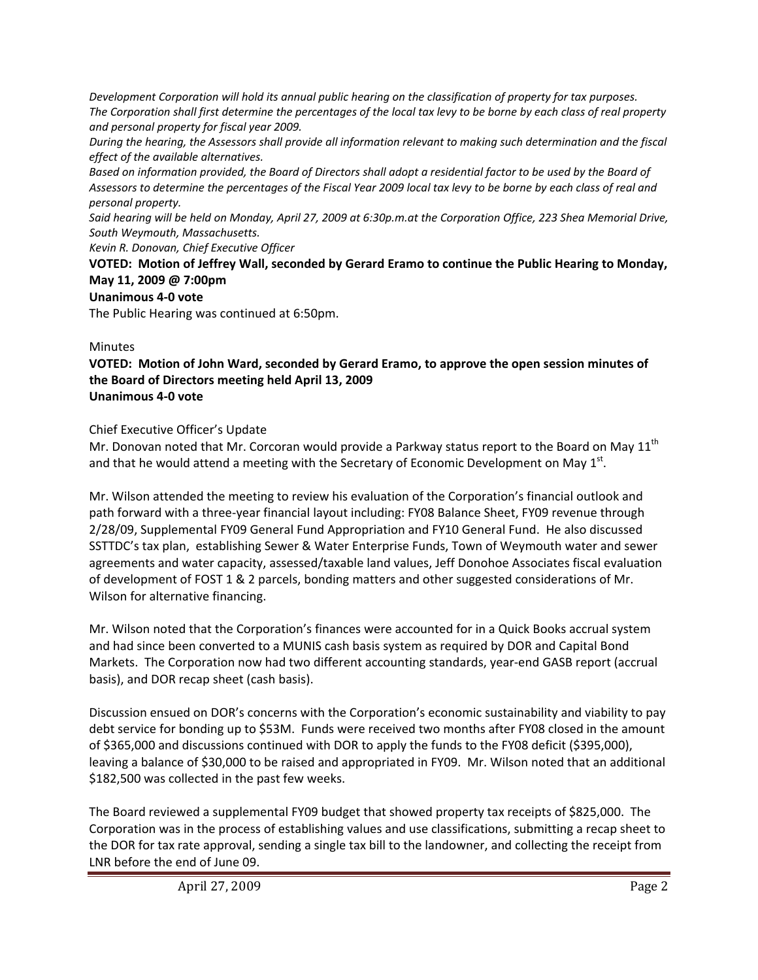*Development Corporation will hold its annual public hearing on the classification of property for tax purposes.* The Corporation shall first determine the percentages of the local tax levy to be borne by each class of real property *and personal property for fiscal year 2009.*

During the hearing, the Assessors shall provide all information relevant to making such determination and the fiscal *effect of the available alternatives.*

Based on information provided, the Board of Directors shall adopt a residential factor to be used by the Board of Assessors to determine the percentages of the Fiscal Year 2009 local tax levy to be borne by each class of real and *personal property.*

Said hearing will be held on Monday, April 27, 2009 at 6:30p.m.at the Corporation Office, 223 Shea Memorial Drive, *South Weymouth, Massachusetts.*

*Kevin R. Donovan, Chief Executive Officer*

**VOTED: Motion of Jeffrey Wall, seconded by Gerard Eramo to continue the Public Hearing to Monday, May 11, 2009 @ 7:00pm**

## **Unanimous 4‐0 vote**

The Public Hearing was continued at 6:50pm.

# Minutes

**VOTED: Motion of John Ward, seconded by Gerard Eramo, to approve the open session minutes of the Board of Directors meeting held April 13, 2009 Unanimous 4‐0 vote**

# Chief Executive Officer's Update

Mr. Donovan noted that Mr. Corcoran would provide a Parkway status report to the Board on May 11<sup>th</sup> and that he would attend a meeting with the Secretary of Economic Development on May  $1<sup>st</sup>$ .

Mr. Wilson attended the meeting to review his evaluation of the Corporation's financial outlook and path forward with a three‐year financial layout including: FY08 Balance Sheet, FY09 revenue through 2/28/09, Supplemental FY09 General Fund Appropriation and FY10 General Fund. He also discussed SSTTDC's tax plan, establishing Sewer & Water Enterprise Funds, Town of Weymouth water and sewer agreements and water capacity, assessed/taxable land values, Jeff Donohoe Associates fiscal evaluation of development of FOST 1 & 2 parcels, bonding matters and other suggested considerations of Mr. Wilson for alternative financing.

Mr. Wilson noted that the Corporation's finances were accounted for in a Quick Books accrual system and had since been converted to a MUNIS cash basis system as required by DOR and Capital Bond Markets. The Corporation now had two different accounting standards, year‐end GASB report (accrual basis), and DOR recap sheet (cash basis).

Discussion ensued on DOR's concerns with the Corporation's economic sustainability and viability to pay debt service for bonding up to \$53M. Funds were received two months after FY08 closed in the amount of \$365,000 and discussions continued with DOR to apply the funds to the FY08 deficit (\$395,000), leaving a balance of \$30,000 to be raised and appropriated in FY09. Mr. Wilson noted that an additional \$182,500 was collected in the past few weeks.

The Board reviewed a supplemental FY09 budget that showed property tax receipts of \$825,000. The Corporation was in the process of establishing values and use classifications, submitting a recap sheet to the DOR for tax rate approval, sending a single tax bill to the landowner, and collecting the receipt from LNR before the end of June 09.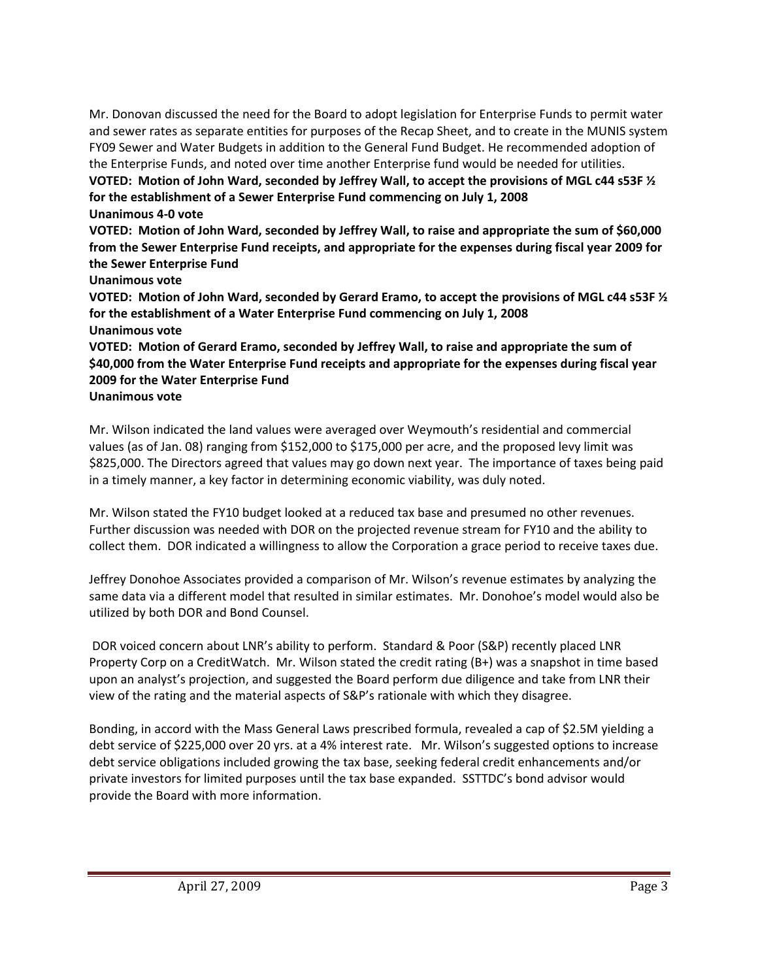Mr. Donovan discussed the need for the Board to adopt legislation for Enterprise Funds to permit water and sewer rates as separate entities for purposes of the Recap Sheet, and to create in the MUNIS system FY09 Sewer and Water Budgets in addition to the General Fund Budget. He recommended adoption of the Enterprise Funds, and noted over time another Enterprise fund would be needed for utilities. VOTED: Motion of John Ward, seconded by Jeffrey Wall, to accept the provisions of MGL c44 s53F 1/2 **for the establishment of a Sewer Enterprise Fund commencing on July 1, 2008 Unanimous 4‐0 vote**

**VOTED: Motion of John Ward, seconded by Jeffrey Wall, to raise and appropriate the sum of \$60,000 from the Sewer Enterprise Fund receipts, and appropriate for the expenses during fiscal year 2009 for the Sewer Enterprise Fund**

**Unanimous vote**

VOTED: Motion of John Ward, seconded by Gerard Eramo, to accept the provisions of MGL c44 s53F 1/2 **for the establishment of a Water Enterprise Fund commencing on July 1, 2008**

**Unanimous vote**

**VOTED: Motion of Gerard Eramo, seconded by Jeffrey Wall, to raise and appropriate the sum of \$40,000 from the Water Enterprise Fund receipts and appropriate for the expenses during fiscal year 2009 for the Water Enterprise Fund**

**Unanimous vote**

Mr. Wilson indicated the land values were averaged over Weymouth's residential and commercial values (as of Jan. 08) ranging from \$152,000 to \$175,000 per acre, and the proposed levy limit was \$825,000. The Directors agreed that values may go down next year. The importance of taxes being paid in a timely manner, a key factor in determining economic viability, was duly noted.

Mr. Wilson stated the FY10 budget looked at a reduced tax base and presumed no other revenues. Further discussion was needed with DOR on the projected revenue stream for FY10 and the ability to collect them. DOR indicated a willingness to allow the Corporation a grace period to receive taxes due.

Jeffrey Donohoe Associates provided a comparison of Mr. Wilson's revenue estimates by analyzing the same data via a different model that resulted in similar estimates. Mr. Donohoe's model would also be utilized by both DOR and Bond Counsel.

DOR voiced concern about LNR's ability to perform. Standard & Poor (S&P) recently placed LNR Property Corp on a CreditWatch. Mr. Wilson stated the credit rating (B+) was a snapshot in time based upon an analyst's projection, and suggested the Board perform due diligence and take from LNR their view of the rating and the material aspects of S&P's rationale with which they disagree.

Bonding, in accord with the Mass General Laws prescribed formula, revealed a cap of \$2.5M yielding a debt service of \$225,000 over 20 yrs. at a 4% interest rate. Mr. Wilson's suggested options to increase debt service obligations included growing the tax base, seeking federal credit enhancements and/or private investors for limited purposes until the tax base expanded. SSTTDC's bond advisor would provide the Board with more information.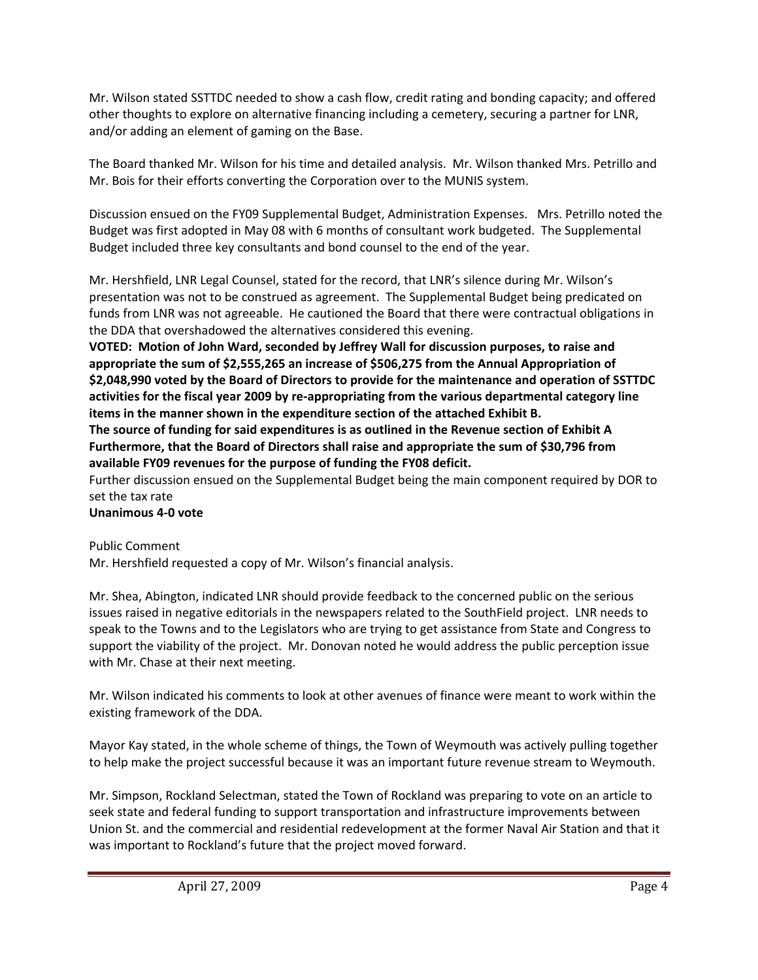Mr. Wilson stated SSTTDC needed to show a cash flow, credit rating and bonding capacity; and offered other thoughts to explore on alternative financing including a cemetery, securing a partner for LNR, and/or adding an element of gaming on the Base.

The Board thanked Mr. Wilson for his time and detailed analysis. Mr. Wilson thanked Mrs. Petrillo and Mr. Bois for their efforts converting the Corporation over to the MUNIS system.

Discussion ensued on the FY09 Supplemental Budget, Administration Expenses. Mrs. Petrillo noted the Budget was first adopted in May 08 with 6 months of consultant work budgeted. The Supplemental Budget included three key consultants and bond counsel to the end of the year.

Mr. Hershfield, LNR Legal Counsel, stated for the record, that LNR's silence during Mr. Wilson's presentation was not to be construed as agreement. The Supplemental Budget being predicated on funds from LNR was not agreeable. He cautioned the Board that there were contractual obligations in the DDA that overshadowed the alternatives considered this evening.

**VOTED: Motion of John Ward, seconded by Jeffrey Wall for discussion purposes, to raise and appropriate the sum of \$2,555,265 an increase of \$506,275 from the Annual Appropriation of \$2,048,990 voted by the Board of Directors to provide for the maintenance and operation of SSTTDC activities for the fiscal year 2009 by re‐appropriating from the various departmental category line items in the manner shown in the expenditure section of the attached Exhibit B.**

**The source of funding for said expenditures is as outlined in the Revenue section of Exhibit A Furthermore, that the Board of Directors shall raise and appropriate the sum of \$30,796 from available FY09 revenues for the purpose of funding the FY08 deficit.**

Further discussion ensued on the Supplemental Budget being the main component required by DOR to set the tax rate

### **Unanimous 4‐0 vote**

Public Comment

Mr. Hershfield requested a copy of Mr. Wilson's financial analysis.

Mr. Shea, Abington, indicated LNR should provide feedback to the concerned public on the serious issues raised in negative editorials in the newspapers related to the SouthField project. LNR needs to speak to the Towns and to the Legislators who are trying to get assistance from State and Congress to support the viability of the project. Mr. Donovan noted he would address the public perception issue with Mr. Chase at their next meeting.

Mr. Wilson indicated his comments to look at other avenues of finance were meant to work within the existing framework of the DDA.

Mayor Kay stated, in the whole scheme of things, the Town of Weymouth was actively pulling together to help make the project successful because it was an important future revenue stream to Weymouth.

Mr. Simpson, Rockland Selectman, stated the Town of Rockland was preparing to vote on an article to seek state and federal funding to support transportation and infrastructure improvements between Union St. and the commercial and residential redevelopment at the former Naval Air Station and that it was important to Rockland's future that the project moved forward.